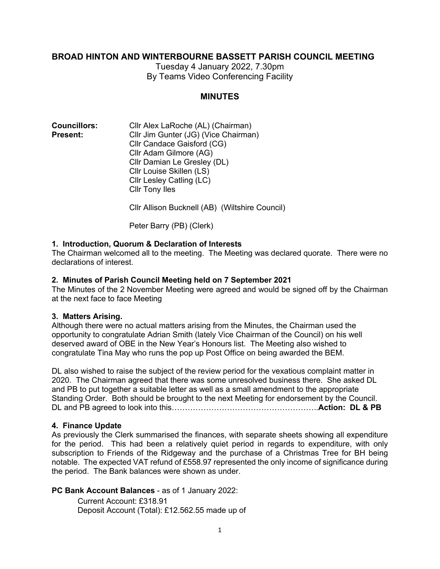## **BROAD HINTON AND WINTERBOURNE BASSETT PARISH COUNCIL MEETING**

Tuesday 4 January 2022, 7.30pm By Teams Video Conferencing Facility

### **MINUTES**

| <b>Councillors:</b> | Cllr Alex LaRoche (AL) (Chairman)    |
|---------------------|--------------------------------------|
| Present:            | Cllr Jim Gunter (JG) (Vice Chairman) |
|                     | Cllr Candace Gaisford (CG)           |
|                     | Cllr Adam Gilmore (AG)               |
|                     | Cllr Damian Le Gresley (DL)          |
|                     | Cllr Louise Skillen (LS)             |
|                     | Cllr Lesley Catling (LC)             |
|                     | <b>Cllr Tony Iles</b>                |
|                     |                                      |

Cllr Allison Bucknell (AB) (Wiltshire Council)

Peter Barry (PB) (Clerk)

#### **1. Introduction, Quorum & Declaration of Interests**

The Chairman welcomed all to the meeting. The Meeting was declared quorate. There were no declarations of interest.

#### **2. Minutes of Parish Council Meeting held on 7 September 2021**

The Minutes of the 2 November Meeting were agreed and would be signed off by the Chairman at the next face to face Meeting

#### **3. Matters Arising.**

Although there were no actual matters arising from the Minutes, the Chairman used the opportunity to congratulate Adrian Smith (lately Vice Chairman of the Council) on his well deserved award of OBE in the New Year's Honours list. The Meeting also wished to congratulate Tina May who runs the pop up Post Office on being awarded the BEM.

DL also wished to raise the subject of the review period for the vexatious complaint matter in 2020. The Chairman agreed that there was some unresolved business there. She asked DL and PB to put together a suitable letter as well as a small amendment to the appropriate Standing Order. Both should be brought to the next Meeting for endorsement by the Council. DL and PB agreed to look into this………………………………………………..**Action: DL & PB**

#### **4. Finance Update**

As previously the Clerk summarised the finances, with separate sheets showing all expenditure for the period. This had been a relatively quiet period in regards to expenditure, with only subscription to Friends of the Ridgeway and the purchase of a Christmas Tree for BH being notable. The expected VAT refund of £558.97 represented the only income of significance during the period. The Bank balances were shown as under.

### **PC Bank Account Balances** - as of 1 January 2022:

Current Account: £318.91 Deposit Account (Total): £12.562.55 made up of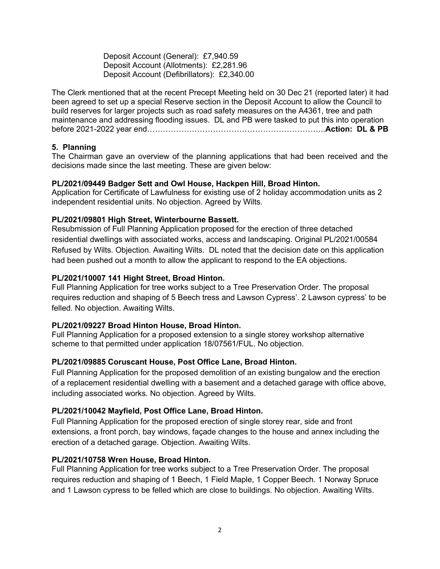Deposit Account (General): £7,940.59 Deposit Account (Allotments): £2,281.96 Deposit Account (Defibrillators): £2,340.00

The Clerk mentioned that at the recent Precept Meeting held on 30 Dec 21 (reported later) it had been agreed to set up a special Reserve section in the Deposit Account to allow the Council to build reserves for larger projects such as road safety measures on the A4361, tree and path maintenance and addressing flooding issues. DL and PB were tasked to put this into operation before 2021-2022 year end…………………………………………………………..**Action: DL & PB**

## **5. Planning**

The Chairman gave an overview of the planning applications that had been received and the decisions made since the last meeting. These are given below:

### **PL/2021/09449 Badger Sett and Owl House, Hackpen Hill, Broad Hinton.**

Application for Certificate of Lawfulness for existing use of 2 holiday accommodation units as 2 independent residential units. No objection. Agreed by Wilts.

## **PL/2021/09801 High Street, Winterbourne Bassett.**

Resubmission of Full Planning Application proposed for the erection of three detached residential dwellings with associated works, access and landscaping. Original PL/2021/00584 Refused by Wilts. Objection. Awaiting Wilts. DL noted that the decision date on this application had been pushed out a month to allow the applicant to respond to the EA objections.

## **PL/2021/10007 141 Hight Street, Broad Hinton.**

Full Planning Application for tree works subject to a Tree Preservation Order. The proposal requires reduction and shaping of 5 Beech tress and Lawson Cypress'. 2 Lawson cypress' to be felled. No objection. Awaiting Wilts.

### **PL/2021/09227 Broad Hinton House, Broad Hinton.**

Full Planning Application for a proposed extension to a single storey workshop alternative scheme to that permitted under application 18/07561/FUL. No objection.

### **PL/2021/09885 Coruscant House, Post Office Lane, Broad Hinton.**

Full Planning Application for the proposed demolition of an existing bungalow and the erection of a replacement residential dwelling with a basement and a detached garage with office above, including associated works. No objection. Agreed by Wilts.

### **PL/2021/10042 Mayfield, Post Office Lane, Broad Hinton.**

Full Planning Application for the proposed erection of single storey rear, side and front extensions, a front porch, bay windows, façade changes to the house and annex including the erection of a detached garage. Objection. Awaiting Wilts.

### **PL/2021/10758 Wren House, Broad Hinton.**

Full Planning Application for tree works subject to a Tree Preservation Order. The proposal requires reduction and shaping of 1 Beech, 1 Field Maple, 1 Copper Beech. 1 Norway Spruce and 1 Lawson cypress to be felled which are close to buildings. No objection. Awaiting Wilts.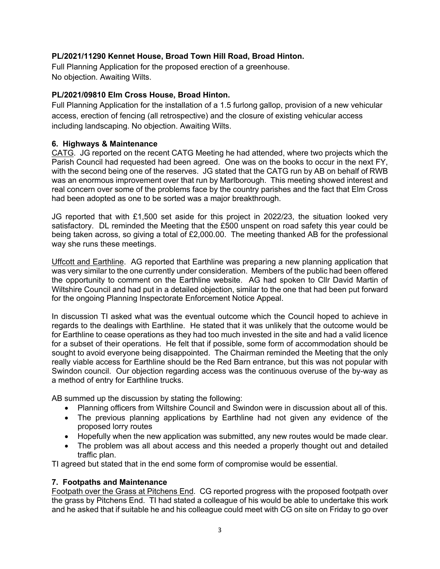# **PL/2021/11290 Kennet House, Broad Town Hill Road, Broad Hinton.**

Full Planning Application for the proposed erection of a greenhouse. No objection. Awaiting Wilts.

## **PL/2021/09810 Elm Cross House, Broad Hinton.**

Full Planning Application for the installation of a 1.5 furlong gallop, provision of a new vehicular access, erection of fencing (all retrospective) and the closure of existing vehicular access including landscaping. No objection. Awaiting Wilts.

### **6. Highways & Maintenance**

CATG. JG reported on the recent CATG Meeting he had attended, where two projects which the Parish Council had requested had been agreed. One was on the books to occur in the next FY, with the second being one of the reserves. JG stated that the CATG run by AB on behalf of RWB was an enormous improvement over that run by Marlborough. This meeting showed interest and real concern over some of the problems face by the country parishes and the fact that Elm Cross had been adopted as one to be sorted was a major breakthrough.

JG reported that with £1,500 set aside for this project in 2022/23, the situation looked very satisfactory. DL reminded the Meeting that the £500 unspent on road safety this year could be being taken across, so giving a total of £2,000.00. The meeting thanked AB for the professional way she runs these meetings.

Uffcott and Earthline. AG reported that Earthline was preparing a new planning application that was very similar to the one currently under consideration. Members of the public had been offered the opportunity to comment on the Earthline website. AG had spoken to Cllr David Martin of Wiltshire Council and had put in a detailed objection, similar to the one that had been put forward for the ongoing Planning Inspectorate Enforcement Notice Appeal.

In discussion TI asked what was the eventual outcome which the Council hoped to achieve in regards to the dealings with Earthline. He stated that it was unlikely that the outcome would be for Earthline to cease operations as they had too much invested in the site and had a valid licence for a subset of their operations. He felt that if possible, some form of accommodation should be sought to avoid everyone being disappointed. The Chairman reminded the Meeting that the only really viable access for Earthline should be the Red Barn entrance, but this was not popular with Swindon council. Our objection regarding access was the continuous overuse of the by-way as a method of entry for Earthline trucks.

AB summed up the discussion by stating the following:

- Planning officers from Wiltshire Council and Swindon were in discussion about all of this.
- The previous planning applications by Earthline had not given any evidence of the proposed lorry routes
- Hopefully when the new application was submitted, any new routes would be made clear.
- The problem was all about access and this needed a properly thought out and detailed traffic plan.

TI agreed but stated that in the end some form of compromise would be essential.

# **7. Footpaths and Maintenance**

Footpath over the Grass at Pitchens End. CG reported progress with the proposed footpath over the grass by Pitchens End. TI had stated a colleague of his would be able to undertake this work and he asked that if suitable he and his colleague could meet with CG on site on Friday to go over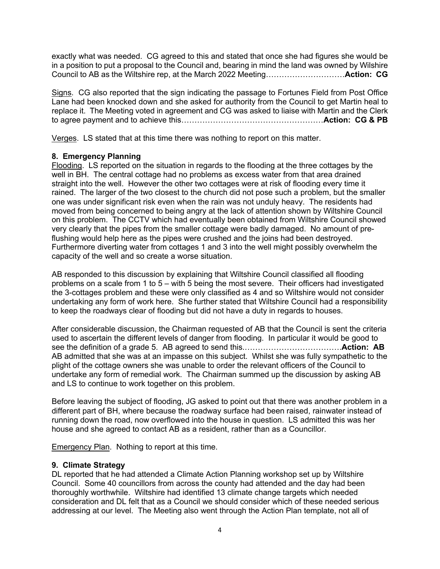exactly what was needed. CG agreed to this and stated that once she had figures she would be in a position to put a proposal to the Council and, bearing in mind the land was owned by Wilshire Council to AB as the Wiltshire rep, at the March 2022 Meeting…………………………**Action: CG**

Signs. CG also reported that the sign indicating the passage to Fortunes Field from Post Office Lane had been knocked down and she asked for authority from the Council to get Martin heal to replace it. The Meeting voted in agreement and CG was asked to liaise with Martin and the Clerk to agree payment and to achieve this………………………………………………**Action: CG & PB**

Verges. LS stated that at this time there was nothing to report on this matter.

### **8. Emergency Planning**

Flooding. LS reported on the situation in regards to the flooding at the three cottages by the well in BH. The central cottage had no problems as excess water from that area drained straight into the well. However the other two cottages were at risk of flooding every time it rained. The larger of the two closest to the church did not pose such a problem, but the smaller one was under significant risk even when the rain was not unduly heavy. The residents had moved from being concerned to being angry at the lack of attention shown by Wiltshire Council on this problem. The CCTV which had eventually been obtained from Wiltshire Council showed very clearly that the pipes from the smaller cottage were badly damaged. No amount of preflushing would help here as the pipes were crushed and the joins had been destroyed. Furthermore diverting water from cottages 1 and 3 into the well might possibly overwhelm the capacity of the well and so create a worse situation.

AB responded to this discussion by explaining that Wiltshire Council classified all flooding problems on a scale from 1 to 5 – with 5 being the most severe. Their officers had investigated the 3-cottages problem and these were only classified as 4 and so Wiltshire would not consider undertaking any form of work here. She further stated that Wiltshire Council had a responsibility to keep the roadways clear of flooding but did not have a duty in regards to houses.

After considerable discussion, the Chairman requested of AB that the Council is sent the criteria used to ascertain the different levels of danger from flooding. In particular it would be good to see the definition of a grade 5. AB agreed to send this.……………………………….**Action: AB** AB admitted that she was at an impasse on this subject. Whilst she was fully sympathetic to the plight of the cottage owners she was unable to order the relevant officers of the Council to undertake any form of remedial work. The Chairman summed up the discussion by asking AB and LS to continue to work together on this problem.

Before leaving the subject of flooding, JG asked to point out that there was another problem in a different part of BH, where because the roadway surface had been raised, rainwater instead of running down the road, now overflowed into the house in question. LS admitted this was her house and she agreed to contact AB as a resident, rather than as a Councillor.

Emergency Plan. Nothing to report at this time.

### **9. Climate Strategy**

DL reported that he had attended a Climate Action Planning workshop set up by Wiltshire Council. Some 40 councillors from across the county had attended and the day had been thoroughly worthwhile. Wiltshire had identified 13 climate change targets which needed consideration and DL felt that as a Council we should consider which of these needed serious addressing at our level. The Meeting also went through the Action Plan template, not all of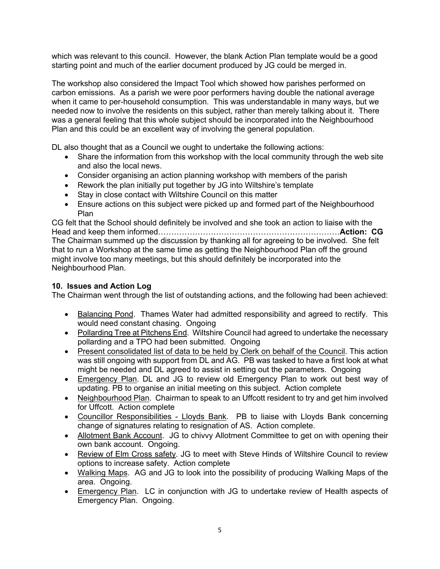which was relevant to this council. However, the blank Action Plan template would be a good starting point and much of the earlier document produced by JG could be merged in.

The workshop also considered the Impact Tool which showed how parishes performed on carbon emissions. As a parish we were poor performers having double the national average when it came to per-household consumption. This was understandable in many ways, but we needed now to involve the residents on this subject, rather than merely talking about it. There was a general feeling that this whole subject should be incorporated into the Neighbourhood Plan and this could be an excellent way of involving the general population.

DL also thought that as a Council we ought to undertake the following actions:

- Share the information from this workshop with the local community through the web site and also the local news.
- Consider organising an action planning workshop with members of the parish
- Rework the plan initially put together by JG into Wiltshire's template
- Stay in close contact with Wiltshire Council on this matter
- Ensure actions on this subject were picked up and formed part of the Neighbourhood Plan

CG felt that the School should definitely be involved and she took an action to liaise with the Head and keep them informed……………………………………………………………**Action: CG** The Chairman summed up the discussion by thanking all for agreeing to be involved. She felt that to run a Workshop at the same time as getting the Neighbourhood Plan off the ground might involve too many meetings, but this should definitely be incorporated into the Neighbourhood Plan.

# **10. Issues and Action Log**

The Chairman went through the list of outstanding actions, and the following had been achieved:

- Balancing Pond. Thames Water had admitted responsibility and agreed to rectify. This would need constant chasing. Ongoing
- Pollarding Tree at Pitchens End. Wiltshire Council had agreed to undertake the necessary pollarding and a TPO had been submitted. Ongoing
- Present consolidated list of data to be held by Clerk on behalf of the Council. This action was still ongoing with support from DL and AG. PB was tasked to have a first look at what might be needed and DL agreed to assist in setting out the parameters. Ongoing
- Emergency Plan. DL and JG to review old Emergency Plan to work out best way of updating. PB to organise an initial meeting on this subject. Action complete
- Neighbourhood Plan. Chairman to speak to an Uffcott resident to try and get him involved for Uffcott. Action complete
- Councillor Responsibilities Lloyds Bank. PB to liaise with Lloyds Bank concerning change of signatures relating to resignation of AS. Action complete.
- Allotment Bank Account. JG to chivvy Allotment Committee to get on with opening their own bank account. Ongoing.
- Review of Elm Cross safety. JG to meet with Steve Hinds of Wiltshire Council to review options to increase safety. Action complete
- Walking Maps. AG and JG to look into the possibility of producing Walking Maps of the area. Ongoing.
- Emergency Plan. LC in conjunction with JG to undertake review of Health aspects of Emergency Plan. Ongoing.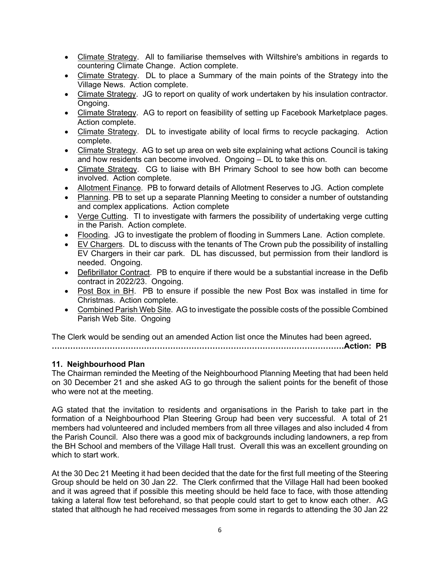- Climate Strategy. All to familiarise themselves with Wiltshire's ambitions in regards to countering Climate Change. Action complete.
- Climate Strategy. DL to place a Summary of the main points of the Strategy into the Village News. Action complete.
- Climate Strategy. JG to report on quality of work undertaken by his insulation contractor. Ongoing.
- Climate Strategy. AG to report on feasibility of setting up Facebook Marketplace pages. Action complete.
- Climate Strategy. DL to investigate ability of local firms to recycle packaging. Action complete.
- Climate Strategy. AG to set up area on web site explaining what actions Council is taking and how residents can become involved. Ongoing – DL to take this on.
- Climate Strategy. CG to liaise with BH Primary School to see how both can become involved. Action complete.
- Allotment Finance. PB to forward details of Allotment Reserves to JG. Action complete
- Planning. PB to set up a separate Planning Meeting to consider a number of outstanding and complex applications. Action complete
- Verge Cutting. TI to investigate with farmers the possibility of undertaking verge cutting in the Parish. Action complete.
- Flooding. JG to investigate the problem of flooding in Summers Lane. Action complete.
- EV Chargers. DL to discuss with the tenants of The Crown pub the possibility of installing EV Chargers in their car park. DL has discussed, but permission from their landlord is needed. Ongoing.
- Defibrillator Contract. PB to enquire if there would be a substantial increase in the Defib contract in 2022/23. Ongoing.
- Post Box in BH. PB to ensure if possible the new Post Box was installed in time for Christmas. Action complete.
- Combined Parish Web Site. AG to investigate the possible costs of the possible Combined Parish Web Site. Ongoing

The Clerk would be sending out an amended Action list once the Minutes had been agreed**. …………………………………………………………………………………………………Action: PB**

# **11. Neighbourhood Plan**

The Chairman reminded the Meeting of the Neighbourhood Planning Meeting that had been held on 30 December 21 and she asked AG to go through the salient points for the benefit of those who were not at the meeting.

AG stated that the invitation to residents and organisations in the Parish to take part in the formation of a Neighbourhood Plan Steering Group had been very successful. A total of 21 members had volunteered and included members from all three villages and also included 4 from the Parish Council. Also there was a good mix of backgrounds including landowners, a rep from the BH School and members of the Village Hall trust. Overall this was an excellent grounding on which to start work.

At the 30 Dec 21 Meeting it had been decided that the date for the first full meeting of the Steering Group should be held on 30 Jan 22. The Clerk confirmed that the Village Hall had been booked and it was agreed that if possible this meeting should be held face to face, with those attending taking a lateral flow test beforehand, so that people could start to get to know each other. AG stated that although he had received messages from some in regards to attending the 30 Jan 22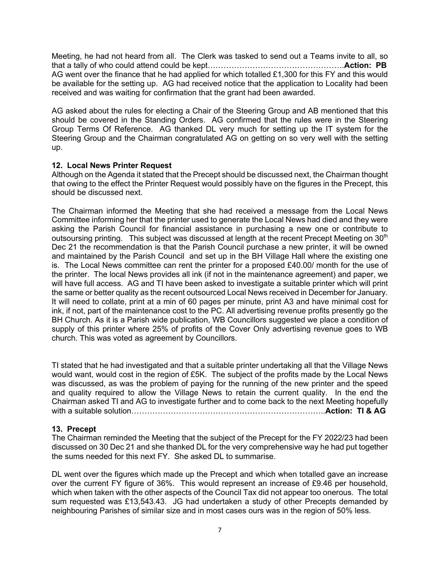Meeting, he had not heard from all. The Clerk was tasked to send out a Teams invite to all, so that a tally of who could attend could be kept…………………………………………….**Action: PB** AG went over the finance that he had applied for which totalled £1,300 for this FY and this would be available for the setting up. AG had received notice that the application to Locality had been received and was waiting for confirmation that the grant had been awarded.

AG asked about the rules for electing a Chair of the Steering Group and AB mentioned that this should be covered in the Standing Orders. AG confirmed that the rules were in the Steering Group Terms Of Reference. AG thanked DL very much for setting up the IT system for the Steering Group and the Chairman congratulated AG on getting on so very well with the setting up.

#### **12. Local News Printer Request**

Although on the Agenda it stated that the Precept should be discussed next, the Chairman thought that owing to the effect the Printer Request would possibly have on the figures in the Precept, this should be discussed next.

The Chairman informed the Meeting that she had received a message from the Local News Committee informing her that the printer used to generate the Local News had died and they were asking the Parish Council for financial assistance in purchasing a new one or contribute to outsoursing printing. This subject was discussed at length at the recent Precept Meeting on 30<sup>th</sup> Dec 21 the recommendation is that the Parish Council purchase a new printer, it will be owned and maintained by the Parish Council and set up in the BH Village Hall where the existing one is. The Local News committee can rent the printer for a proposed £40.00/ month for the use of the printer. The local News provides all ink (if not in the maintenance agreement) and paper, we will have full access. AG and TI have been asked to investigate a suitable printer which will print the same or better quality as the recent outsourced Local News received in December for January. It will need to collate, print at a min of 60 pages per minute, print A3 and have minimal cost for ink, if not, part of the maintenance cost to the PC. All advertising revenue profits presently go the BH Church. As it is a Parish wide publication, WB Councillors suggested we place a condition of supply of this printer where 25% of profits of the Cover Only advertising revenue goes to WB church. This was voted as agreement by Councillors.

TI stated that he had investigated and that a suitable printer undertaking all that the Village News would want, would cost in the region of £5K. The subject of the profits made by the Local News was discussed, as was the problem of paying for the running of the new printer and the speed and quality required to allow the Village News to retain the current quality. In the end the Chairman asked TI and AG to investigate further and to come back to the next Meeting hopefully with a suitable solution………………………………………………………………..**Action: TI & AG**

#### **13. Precept**

The Chairman reminded the Meeting that the subject of the Precept for the FY 2022/23 had been discussed on 30 Dec 21 and she thanked DL for the very comprehensive way he had put together the sums needed for this next FY. She asked DL to summarise.

DL went over the figures which made up the Precept and which when totalled gave an increase over the current FY figure of 36%. This would represent an increase of £9.46 per household, which when taken with the other aspects of the Council Tax did not appear too onerous. The total sum requested was £13,543.43. JG had undertaken a study of other Precepts demanded by neighbouring Parishes of similar size and in most cases ours was in the region of 50% less.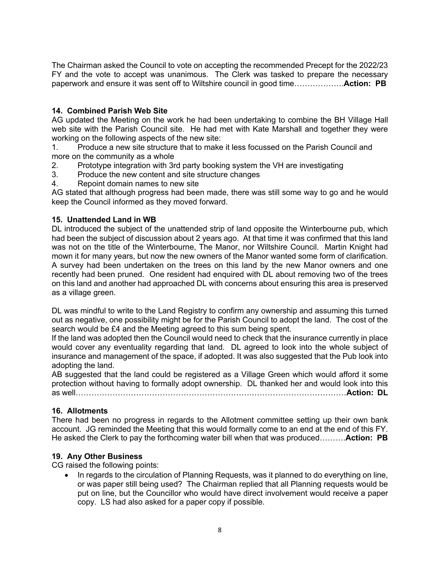The Chairman asked the Council to vote on accepting the recommended Precept for the 2022/23 FY and the vote to accept was unanimous. The Clerk was tasked to prepare the necessary paperwork and ensure it was sent off to Wiltshire council in good time……………….**Action: PB**

# **14. Combined Parish Web Site**

AG updated the Meeting on the work he had been undertaking to combine the BH Village Hall web site with the Parish Council site. He had met with Kate Marshall and together they were working on the following aspects of the new site:

1. Produce a new site structure that to make it less focussed on the Parish Council and more on the community as a whole

- 2. Prototype integration with 3rd party booking system the VH are investigating
- 3. Produce the new content and site structure changes
- 4. Repoint domain names to new site

AG stated that although progress had been made, there was still some way to go and he would keep the Council informed as they moved forward.

## **15. Unattended Land in WB**

DL introduced the subject of the unattended strip of land opposite the Winterbourne pub, which had been the subject of discussion about 2 years ago. At that time it was confirmed that this land was not on the title of the Winterbourne, The Manor, nor Wiltshire Council. Martin Knight had mown it for many years, but now the new owners of the Manor wanted some form of clarification. A survey had been undertaken on the trees on this land by the new Manor owners and one recently had been pruned. One resident had enquired with DL about removing two of the trees on this land and another had approached DL with concerns about ensuring this area is preserved as a village green.

DL was mindful to write to the Land Registry to confirm any ownership and assuming this turned out as negative, one possibility might be for the Parish Council to adopt the land. The cost of the search would be £4 and the Meeting agreed to this sum being spent.

If the land was adopted then the Council would need to check that the insurance currently in place would cover any eventuality regarding that land. DL agreed to look into the whole subject of insurance and management of the space, if adopted. It was also suggested that the Pub look into adopting the land.

AB suggested that the land could be registered as a Village Green which would afford it some protection without having to formally adopt ownership. DL thanked her and would look into this as well………………………………………………………….………………………………**Action: DL**

### **16. Allotments**

There had been no progress in regards to the Allotment committee setting up their own bank account. JG reminded the Meeting that this would formally come to an end at the end of this FY. He asked the Clerk to pay the forthcoming water bill when that was produced……….**Action: PB**

### **19. Any Other Business**

CG raised the following points:

• In regards to the circulation of Planning Requests, was it planned to do everything on line, or was paper still being used? The Chairman replied that all Planning requests would be put on line, but the Councillor who would have direct involvement would receive a paper copy. LS had also asked for a paper copy if possible.